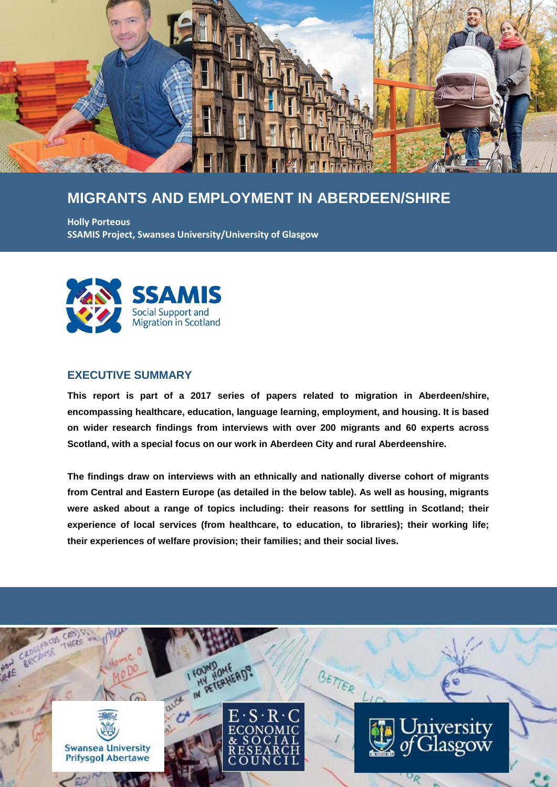

# **MIGRANTS AND EMPLOYMENT IN ABERDEEN/SHIRE**

**Holly Porteous SSAMIS Project, Swansea University/University of Glasgow**



### **EXECUTIVE SUMMARY**

**This report is part of a 2017 series of papers related to migration in Aberdeen/shire, encompassing healthcare, education, language learning, employment, and housing. It is based on wider research findings from interviews with over 200 migrants and 60 experts across Scotland, with a special focus on our work in Aberdeen City and rural Aberdeenshire.**

**The findings draw on interviews with an ethnically and nationally diverse cohort of migrants from Central and Eastern Europe (as detailed in the below table). As well as housing, migrants were asked about a range of topics including: their reasons for settling in Scotland; their experience of local services (from healthcare, to education, to libraries); their working life; their experiences of welfare provision; their families; and their social lives.**

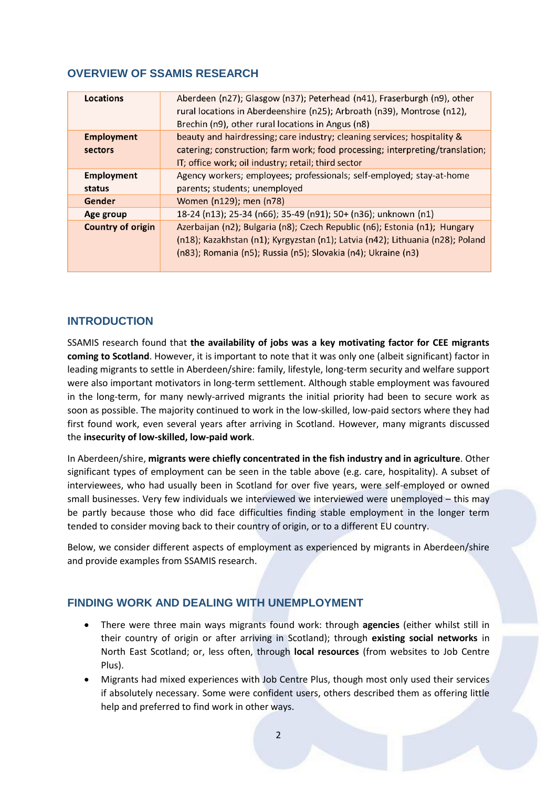### **OVERVIEW OF SSAMIS RESEARCH**

| Locations                | Aberdeen (n27); Glasgow (n37); Peterhead (n41), Fraserburgh (n9), other<br>rural locations in Aberdeenshire (n25); Arbroath (n39), Montrose (n12),<br>Brechin (n9), other rural locations in Angus (n8) |
|--------------------------|---------------------------------------------------------------------------------------------------------------------------------------------------------------------------------------------------------|
|                          |                                                                                                                                                                                                         |
| <b>Employment</b>        | beauty and hairdressing; care industry; cleaning services; hospitality &                                                                                                                                |
| sectors                  | catering; construction; farm work; food processing; interpreting/translation;                                                                                                                           |
|                          | IT; office work; oil industry; retail; third sector                                                                                                                                                     |
| <b>Employment</b>        | Agency workers; employees; professionals; self-employed; stay-at-home                                                                                                                                   |
| status                   | parents; students; unemployed                                                                                                                                                                           |
| Gender                   | Women (n129); men (n78)                                                                                                                                                                                 |
| Age group                | 18-24 (n13); 25-34 (n66); 35-49 (n91); 50+ (n36); unknown (n1)                                                                                                                                          |
| <b>Country of origin</b> | Azerbaijan (n2); Bulgaria (n8); Czech Republic (n6); Estonia (n1); Hungary                                                                                                                              |
|                          | (n18); Kazakhstan (n1); Kyrgyzstan (n1); Latvia (n42); Lithuania (n28); Poland                                                                                                                          |
|                          | (n83); Romania (n5); Russia (n5); Slovakia (n4); Ukraine (n3)                                                                                                                                           |
|                          |                                                                                                                                                                                                         |

### **INTRODUCTION**

SSAMIS research found that **the availability of jobs was a key motivating factor for CEE migrants coming to Scotland**. However, it is important to note that it was only one (albeit significant) factor in leading migrants to settle in Aberdeen/shire: family, lifestyle, long-term security and welfare support were also important motivators in long-term settlement. Although stable employment was favoured in the long-term, for many newly-arrived migrants the initial priority had been to secure work as soon as possible. The majority continued to work in the low-skilled, low-paid sectors where they had first found work, even several years after arriving in Scotland. However, many migrants discussed the **insecurity of low-skilled, low-paid work**.

In Aberdeen/shire, **migrants were chiefly concentrated in the fish industry and in agriculture**. Other significant types of employment can be seen in the table above (e.g. care, hospitality). A subset of interviewees, who had usually been in Scotland for over five years, were self-employed or owned small businesses. Very few individuals we interviewed we interviewed were unemployed – this may be partly because those who did face difficulties finding stable employment in the longer term tended to consider moving back to their country of origin, or to a different EU country.

Below, we consider different aspects of employment as experienced by migrants in Aberdeen/shire and provide examples from SSAMIS research.

## **FINDING WORK AND DEALING WITH UNEMPLOYMENT**

- There were three main ways migrants found work: through **agencies** (either whilst still in their country of origin or after arriving in Scotland); through **existing social networks** in North East Scotland; or, less often, through **local resources** (from websites to Job Centre Plus).
- Migrants had mixed experiences with Job Centre Plus, though most only used their services if absolutely necessary. Some were confident users, others described them as offering little help and preferred to find work in other ways.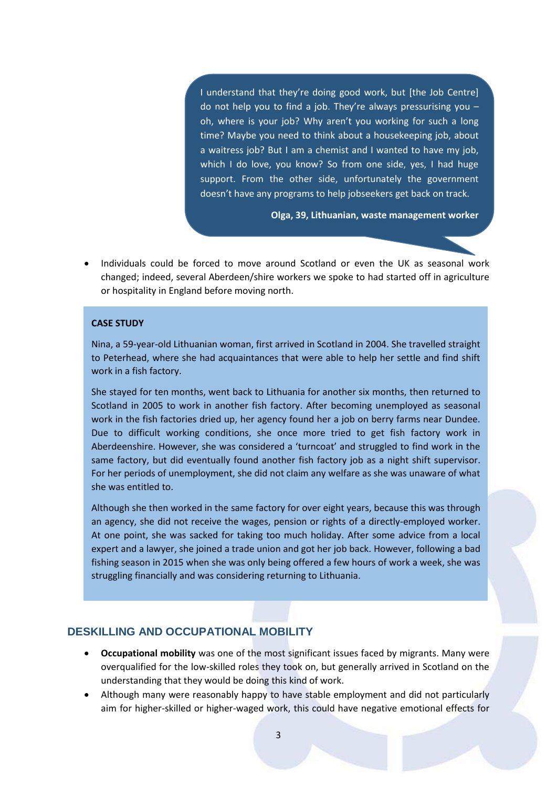I understand that they're doing good work, but [the Job Centre] do not help you to find a job. They're always pressurising you  $$ oh, where is your job? Why aren't you working for such a long time? Maybe you need to think about a housekeeping job, about a waitress job? But I am a chemist and I wanted to have my job, which I do love, you know? So from one side, yes, I had huge support. From the other side, unfortunately the government doesn't have any programs to help jobseekers get back on track.

**Olga, 39, Lithuanian, waste management worker**

 Individuals could be forced to move around Scotland or even the UK as seasonal work changed; indeed, several Aberdeen/shire workers we spoke to had started off in agriculture or hospitality in England before moving north.

#### **CASE STUDY**

Nina, a 59-year-old Lithuanian woman, first arrived in Scotland in 2004. She travelled straight to Peterhead, where she had acquaintances that were able to help her settle and find shift work in a fish factory.

She stayed for ten months, went back to Lithuania for another six months, then returned to Scotland in 2005 to work in another fish factory. After becoming unemployed as seasonal work in the fish factories dried up, her agency found her a job on berry farms near Dundee. Due to difficult working conditions, she once more tried to get fish factory work in Aberdeenshire. However, she was considered a 'turncoat' and struggled to find work in the same factory, but did eventually found another fish factory job as a night shift supervisor. For her periods of unemployment, she did not claim any welfare as she was unaware of what she was entitled to.

Although she then worked in the same factory for over eight years, because this was through an agency, she did not receive the wages, pension or rights of a directly-employed worker. At one point, she was sacked for taking too much holiday. After some advice from a local expert and a lawyer, she joined a trade union and got her job back. However, following a bad fishing season in 2015 when she was only being offered a few hours of work a week, she was struggling financially and was considering returning to Lithuania.

### **DESKILLING AND OCCUPATIONAL MOBILITY**

- **Occupational mobility** was one of the most significant issues faced by migrants. Many were overqualified for the low-skilled roles they took on, but generally arrived in Scotland on the understanding that they would be doing this kind of work.
- Although many were reasonably happy to have stable employment and did not particularly aim for higher-skilled or higher-waged work, this could have negative emotional effects for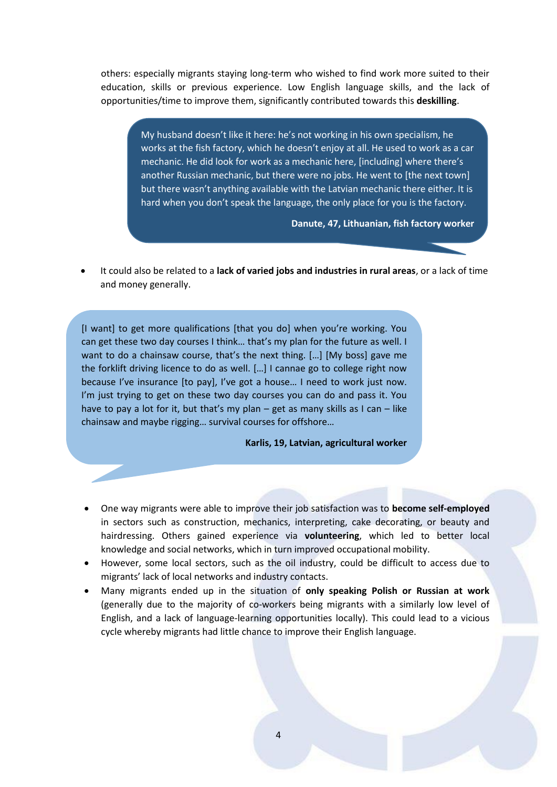others: especially migrants staying long-term who wished to find work more suited to their education, skills or previous experience. Low English language skills, and the lack of opportunities/time to improve them, significantly contributed towards this **deskilling**.

> My husband doesn't like it here: he's not working in his own specialism, he works at the fish factory, which he doesn't enjoy at all. He used to work as a car mechanic. He did look for work as a mechanic here, [including] where there's another Russian mechanic, but there were no jobs. He went to [the next town] but there wasn't anything available with the Latvian mechanic there either. It is hard when you don't speak the language, the only place for you is the factory.

#### **Danute, 47, Lithuanian, fish factory worker**

**Alisa, Russian, ESOL teacher, Aberdeenshire**

 It could also be related to a **lack of varied jobs and industries in rural areas**, or a lack of time and money generally.

[I want] to get more qualifications [that you do] when you're working. You can get these two day courses I think… that's my plan for the future as well. I want to do a chainsaw course, that's the next thing. […] [My boss] gave me the forklift driving licence to do as well. […] I cannae go to college right now because I've insurance [to pay], I've got a house… I need to work just now. I'm just trying to get on these two day courses you can do and pass it. You have to pay a lot for it, but that's my plan – get as many skills as I can – like chainsaw and maybe rigging… survival courses for offshore…

#### **Karlis, 19, Latvian, agricultural worker**

- One way migrants were able to improve their job satisfaction was to **become self-employed** in sectors such as construction, mechanics, interpreting, cake decorating, or beauty and hairdressing. Others gained experience via **volunteering**, which led to better local knowledge and social networks, which in turn improved occupational mobility.
- However, some local sectors, such as the oil industry, could be difficult to access due to migrants' lack of local networks and industry contacts.
- Many migrants ended up in the situation of **only speaking Polish or Russian at work** (generally due to the majority of co-workers being migrants with a similarly low level of English, and a lack of language-learning opportunities locally). This could lead to a vicious cycle whereby migrants had little chance to improve their English language.

4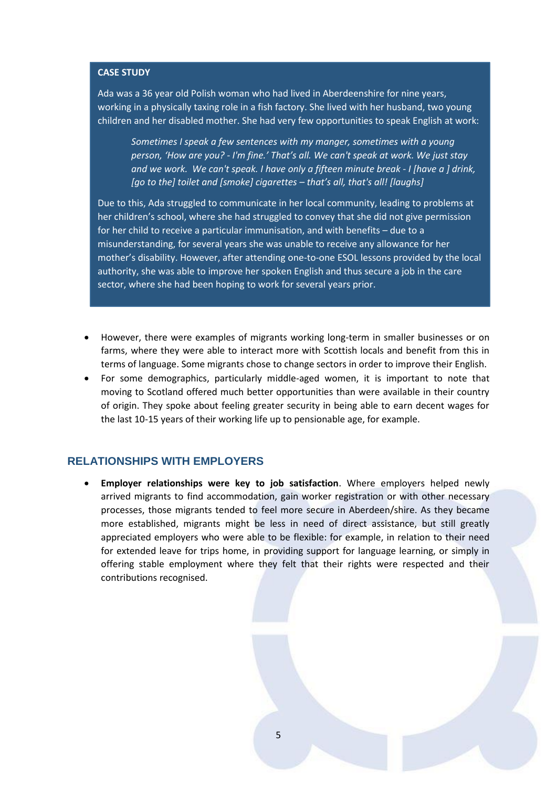### **CASE STUDY**

Ada was a 36 year old Polish woman who had lived in Aberdeenshire for nine years, working in a physically taxing role in a fish factory. She lived with her husband, two young children and her disabled mother. She had very few opportunities to speak English at work:

*Sometimes I speak a few sentences with my manger, sometimes with a young person, 'How are you? - I'm fine.' That's all. We can't speak at work. We just stay and we work. We can't speak. I have only a fifteen minute break - I [have a ] drink, [go to the] toilet and [smoke] cigarettes – that's all, that's all! [laughs]* 

Due to this, Ada struggled to communicate in her local community, leading to problems at her children's school, where she had struggled to convey that she did not give permission for her child to receive a particular immunisation, and with benefits – due to a misunderstanding, for several years she was unable to receive any allowance for her mother's disability. However, after attending one-to-one ESOL lessons provided by the local authority, she was able to improve her spoken English and thus secure a job in the care sector, where she had been hoping to work for several years prior.

- However, there were examples of migrants working long-term in smaller businesses or on farms, where they were able to interact more with Scottish locals and benefit from this in terms of language. Some migrants chose to change sectors in order to improve their English.
- For some demographics, particularly middle-aged women, it is important to note that moving to Scotland offered much better opportunities than were available in their country of origin. They spoke about feeling greater security in being able to earn decent wages for the last 10-15 years of their working life up to pensionable age, for example.

### **RELATIONSHIPS WITH EMPLOYERS**

 **Employer relationships were key to job satisfaction**. Where employers helped newly arrived migrants to find accommodation, gain worker registration or with other necessary processes, those migrants tended to feel more secure in Aberdeen/shire. As they became more established, migrants might be less in need of direct assistance, but still greatly appreciated employers who were able to be flexible: for example, in relation to their need for extended leave for trips home, in providing support for language learning, or simply in offering stable employment where they felt that their rights were respected and their contributions recognised.

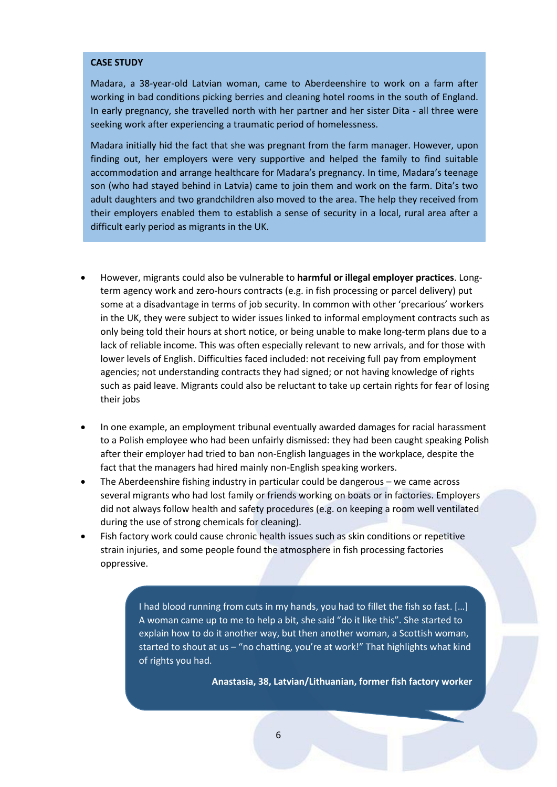### **CASE STUDY**

Madara, a 38-year-old Latvian woman, came to Aberdeenshire to work on a farm after working in bad conditions picking berries and cleaning hotel rooms in the south of England. In early pregnancy, she travelled north with her partner and her sister Dita - all three were seeking work after experiencing a traumatic period of homelessness.

Madara initially hid the fact that she was pregnant from the farm manager. However, upon finding out, her employers were very supportive and helped the family to find suitable accommodation and arrange healthcare for Madara's pregnancy. In time, Madara's teenage son (who had stayed behind in Latvia) came to join them and work on the farm. Dita's two adult daughters and two grandchildren also moved to the area. The help they received from their employers enabled them to establish a sense of security in a local, rural area after a difficult early period as migrants in the UK.

- However, migrants could also be vulnerable to **harmful or illegal employer practices**. Longterm agency work and zero-hours contracts (e.g. in fish processing or parcel delivery) put some at a disadvantage in terms of job security. In common with other 'precarious' workers in the UK, they were subject to wider issues linked to informal employment contracts such as only being told their hours at short notice, or being unable to make long-term plans due to a lack of reliable income. This was often especially relevant to new arrivals, and for those with lower levels of English. Difficulties faced included: not receiving full pay from employment agencies; not understanding contracts they had signed; or not having knowledge of rights such as paid leave. Migrants could also be reluctant to take up certain rights for fear of losing their jobs
- In one example, an employment tribunal eventually awarded damages for racial harassment to a Polish employee who had been unfairly dismissed: they had been caught speaking Polish after their employer had tried to ban non-English languages in the workplace, despite the fact that the managers had hired mainly non-English speaking workers.
- The Aberdeenshire fishing industry in particular could be dangerous we came across several migrants who had lost family or friends working on boats or in factories. Employers did not always follow health and safety procedures (e.g. on keeping a room well ventilated during the use of strong chemicals for cleaning).
- Fish factory work could cause chronic health issues such as skin conditions or repetitive strain injuries, and some people found the atmosphere in fish processing factories oppressive.

I had blood running from cuts in my hands, you had to fillet the fish so fast. […] A woman came up to me to help a bit, she said "do it like this". She started to explain how to do it another way, but then another woman, a Scottish woman, started to shout at us – "no chatting, you're at work!" That highlights what kind of rights you had.

**Anastasia, 38, Latvian/Lithuanian, former fish factory worker**